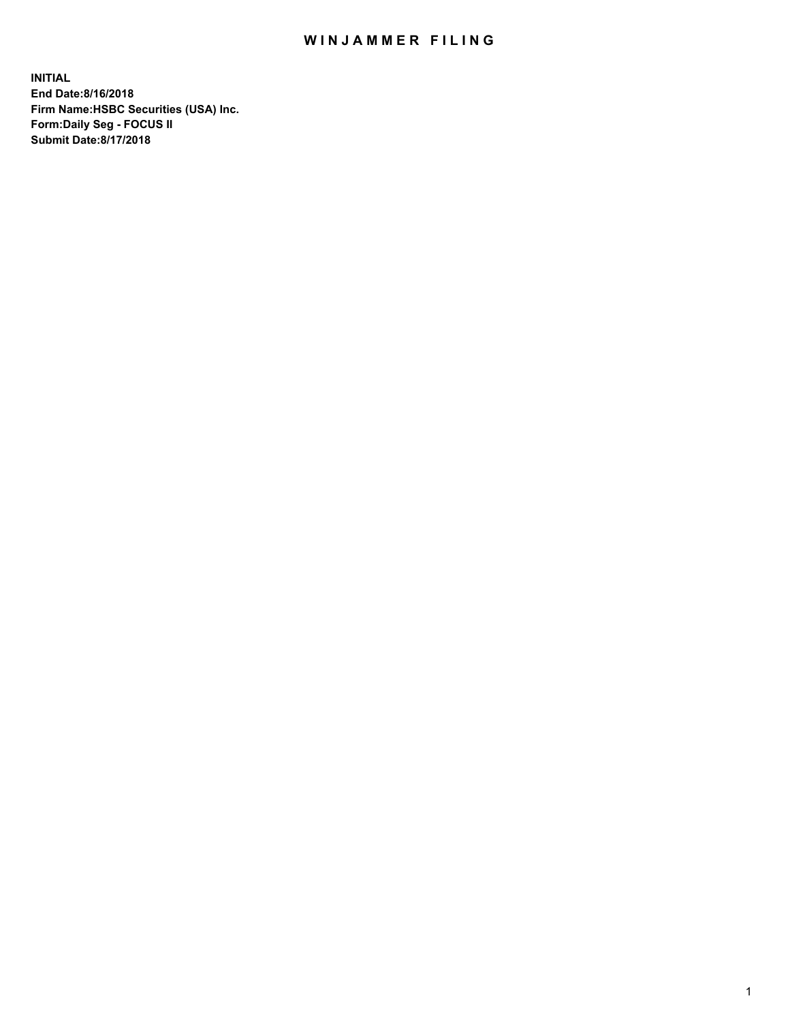## WIN JAMMER FILING

**INITIAL End Date:8/16/2018 Firm Name:HSBC Securities (USA) Inc. Form:Daily Seg - FOCUS II Submit Date:8/17/2018**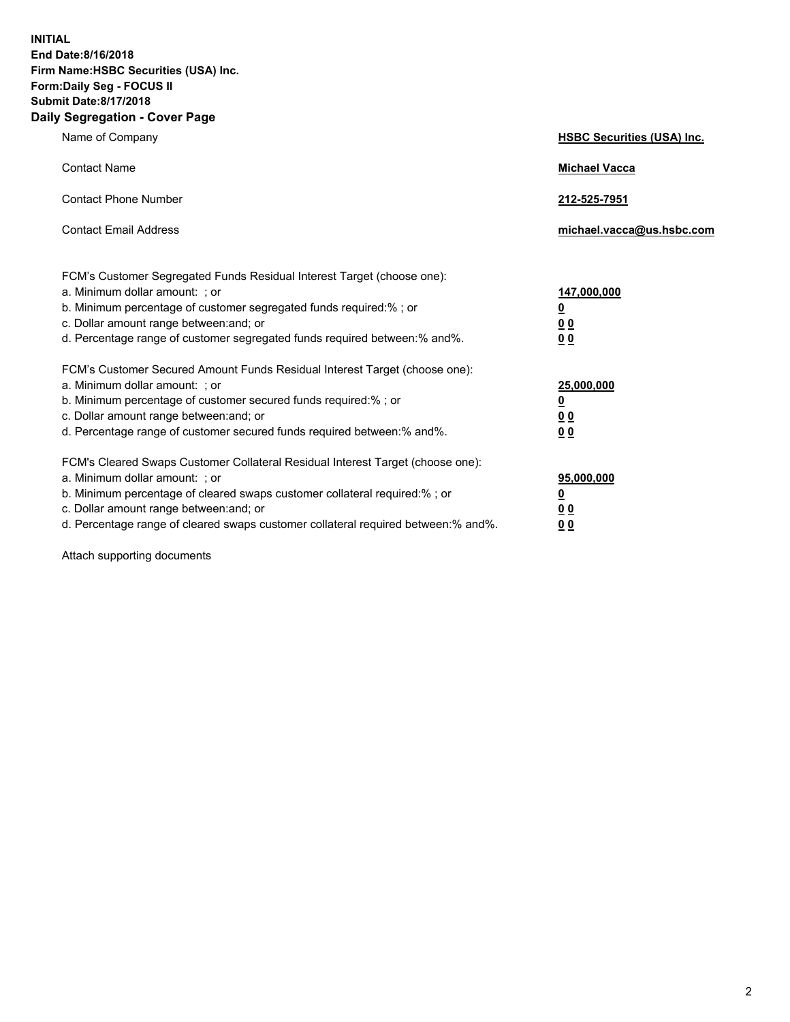**INITIAL End Date:8/16/2018 Firm Name:HSBC Securities (USA) Inc. Form:Daily Seg - FOCUS II Submit Date:8/17/2018 Daily Segregation - Cover Page**

| Name of Company                                                                                                                                                                                                                                                                                                                | <b>HSBC Securities (USA) Inc.</b>                                           |
|--------------------------------------------------------------------------------------------------------------------------------------------------------------------------------------------------------------------------------------------------------------------------------------------------------------------------------|-----------------------------------------------------------------------------|
| <b>Contact Name</b>                                                                                                                                                                                                                                                                                                            | <b>Michael Vacca</b>                                                        |
| <b>Contact Phone Number</b>                                                                                                                                                                                                                                                                                                    | 212-525-7951                                                                |
| <b>Contact Email Address</b>                                                                                                                                                                                                                                                                                                   | michael.vacca@us.hsbc.com                                                   |
| FCM's Customer Segregated Funds Residual Interest Target (choose one):<br>a. Minimum dollar amount: ; or<br>b. Minimum percentage of customer segregated funds required:% ; or<br>c. Dollar amount range between: and; or<br>d. Percentage range of customer segregated funds required between:% and%.                         | 147,000,000<br>$\underline{\mathbf{0}}$<br>0 <sub>0</sub><br>0 <sub>0</sub> |
| FCM's Customer Secured Amount Funds Residual Interest Target (choose one):<br>a. Minimum dollar amount: ; or<br>b. Minimum percentage of customer secured funds required:% ; or<br>c. Dollar amount range between: and; or<br>d. Percentage range of customer secured funds required between: % and %.                         | 25,000,000<br><u>0</u><br>0 <sub>0</sub><br>0 <sub>0</sub>                  |
| FCM's Cleared Swaps Customer Collateral Residual Interest Target (choose one):<br>a. Minimum dollar amount: ; or<br>b. Minimum percentage of cleared swaps customer collateral required:% ; or<br>c. Dollar amount range between: and; or<br>d. Percentage range of cleared swaps customer collateral required between:% and%. | 95,000,000<br><u>0</u><br>00<br>00                                          |

Attach supporting documents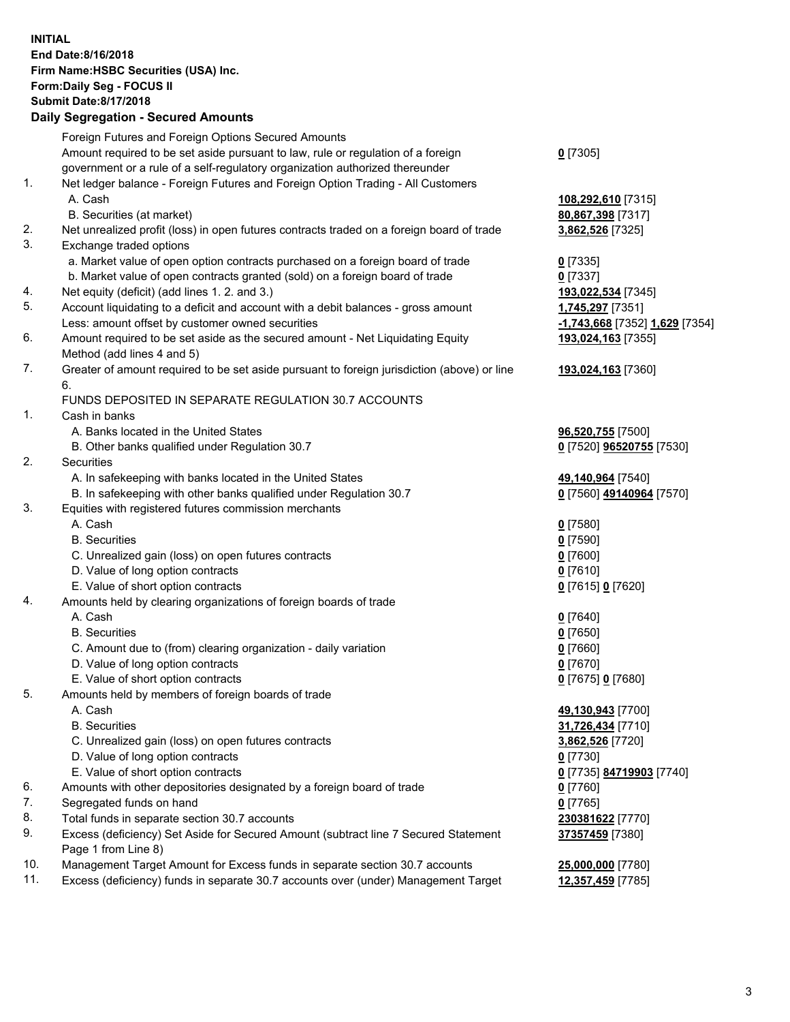**INITIAL End Date:8/16/2018 Firm Name:HSBC Securities (USA) Inc. Form:Daily Seg - FOCUS II Submit Date:8/17/2018 Daily Segregation - Secured Amounts** Foreign Futures and Foreign Options Secured Amounts

|     | r orașii r alures anu r orașii Oplions occureu Amounts                                      |                                |
|-----|---------------------------------------------------------------------------------------------|--------------------------------|
|     | Amount required to be set aside pursuant to law, rule or regulation of a foreign            | $0$ [7305]                     |
|     | government or a rule of a self-regulatory organization authorized thereunder                |                                |
| 1.  | Net ledger balance - Foreign Futures and Foreign Option Trading - All Customers             |                                |
|     | A. Cash                                                                                     | 108,292,610 [7315]             |
|     | B. Securities (at market)                                                                   | 80,867,398 [7317]              |
| 2.  | Net unrealized profit (loss) in open futures contracts traded on a foreign board of trade   | 3,862,526 [7325]               |
| 3.  | Exchange traded options                                                                     |                                |
|     | a. Market value of open option contracts purchased on a foreign board of trade              | $0$ [7335]                     |
|     | b. Market value of open contracts granted (sold) on a foreign board of trade                | $0$ [7337]                     |
| 4.  | Net equity (deficit) (add lines 1.2. and 3.)                                                | 193,022,534 [7345]             |
| 5.  | Account liquidating to a deficit and account with a debit balances - gross amount           | 1,745,297 [7351]               |
|     | Less: amount offset by customer owned securities                                            | -1,743,668 [7352] 1,629 [7354] |
| 6.  | Amount required to be set aside as the secured amount - Net Liquidating Equity              | 193,024,163 [7355]             |
|     | Method (add lines 4 and 5)                                                                  |                                |
| 7.  | Greater of amount required to be set aside pursuant to foreign jurisdiction (above) or line | 193,024,163 [7360]             |
|     | 6.                                                                                          |                                |
|     | FUNDS DEPOSITED IN SEPARATE REGULATION 30.7 ACCOUNTS                                        |                                |
| 1.  | Cash in banks                                                                               |                                |
|     | A. Banks located in the United States                                                       | 96,520,755 [7500]              |
|     | B. Other banks qualified under Regulation 30.7                                              | 0 [7520] 96520755 [7530]       |
| 2.  | Securities                                                                                  |                                |
|     | A. In safekeeping with banks located in the United States                                   | 49,140,964 [7540]              |
|     | B. In safekeeping with other banks qualified under Regulation 30.7                          | 0 [7560] 49140964 [7570]       |
| 3.  | Equities with registered futures commission merchants                                       |                                |
|     | A. Cash                                                                                     | $0$ [7580]                     |
|     | <b>B.</b> Securities                                                                        | $0$ [7590]                     |
|     | C. Unrealized gain (loss) on open futures contracts                                         | $0$ [7600]                     |
|     | D. Value of long option contracts                                                           | $0$ [7610]                     |
|     | E. Value of short option contracts                                                          | 0 [7615] 0 [7620]              |
| 4.  | Amounts held by clearing organizations of foreign boards of trade                           |                                |
|     | A. Cash                                                                                     | $0$ [7640]                     |
|     | <b>B.</b> Securities                                                                        | $0$ [7650]                     |
|     | C. Amount due to (from) clearing organization - daily variation                             | $0$ [7660]                     |
|     | D. Value of long option contracts                                                           | $0$ [7670]                     |
|     | E. Value of short option contracts                                                          | 0 [7675] 0 [7680]              |
| 5.  | Amounts held by members of foreign boards of trade                                          |                                |
|     | A. Cash                                                                                     | 49,130,943 [7700]              |
|     | <b>B.</b> Securities                                                                        | 31,726,434 [7710]              |
|     | C. Unrealized gain (loss) on open futures contracts                                         | 3,862,526 [7720]               |
|     | D. Value of long option contracts                                                           | $0$ [7730]                     |
|     | E. Value of short option contracts                                                          | 0 [7735] 84719903 [7740]       |
| 6.  | Amounts with other depositories designated by a foreign board of trade                      | $0$ [7760]                     |
| 7.  | Segregated funds on hand                                                                    | $0$ [7765]                     |
| 8.  | Total funds in separate section 30.7 accounts                                               | 230381622 [7770]               |
| 9.  | Excess (deficiency) Set Aside for Secured Amount (subtract line 7 Secured Statement         | 37357459 [7380]                |
|     | Page 1 from Line 8)                                                                         |                                |
| 10. | Management Target Amount for Excess funds in separate section 30.7 accounts                 | 25,000,000 [7780]              |
| 11. | Excess (deficiency) funds in separate 30.7 accounts over (under) Management Target          | 12,357,459 [7785]              |
|     |                                                                                             |                                |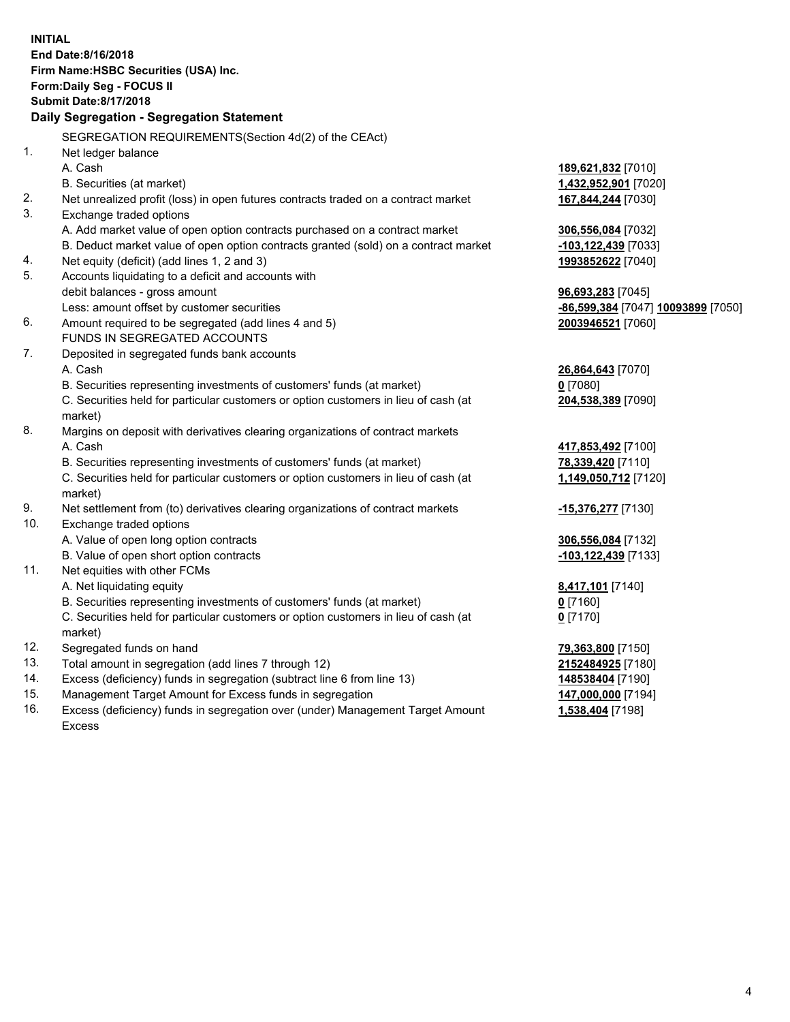**INITIAL End Date:8/16/2018 Firm Name:HSBC Securities (USA) Inc. Form:Daily Seg - FOCUS II Submit Date:8/17/2018 Daily Segregation - Segregation Statement** SEGREGATION REQUIREMENTS(Section 4d(2) of the CEAct) 1. Net ledger balance A. Cash **189,621,832** [7010] B. Securities (at market) **1,432,952,901** [7020] 2. Net unrealized profit (loss) in open futures contracts traded on a contract market **167,844,244** [7030] 3. Exchange traded options A. Add market value of open option contracts purchased on a contract market **306,556,084** [7032] B. Deduct market value of open option contracts granted (sold) on a contract market **-103,122,439** [7033] 4. Net equity (deficit) (add lines 1, 2 and 3) **1993852622** [7040] 5. Accounts liquidating to a deficit and accounts with debit balances - gross amount **96,693,283** [7045] Less: amount offset by customer securities **-86,599,384** [7047] **10093899** [7050] 6. Amount required to be segregated (add lines 4 and 5) **2003946521** [7060] FUNDS IN SEGREGATED ACCOUNTS 7. Deposited in segregated funds bank accounts A. Cash **26,864,643** [7070] B. Securities representing investments of customers' funds (at market) **0** [7080] C. Securities held for particular customers or option customers in lieu of cash (at market) **204,538,389** [7090] 8. Margins on deposit with derivatives clearing organizations of contract markets A. Cash **417,853,492** [7100] B. Securities representing investments of customers' funds (at market) **78,339,420** [7110] C. Securities held for particular customers or option customers in lieu of cash (at market) **1,149,050,712** [7120] 9. Net settlement from (to) derivatives clearing organizations of contract markets **-15,376,277** [7130] 10. Exchange traded options A. Value of open long option contracts **306,556,084** [7132] B. Value of open short option contracts **-103,122,439** [7133] 11. Net equities with other FCMs A. Net liquidating equity **8,417,101** [7140] B. Securities representing investments of customers' funds (at market) **0** [7160] C. Securities held for particular customers or option customers in lieu of cash (at market) **0** [7170] 12. Segregated funds on hand **79,363,800** [7150] 13. Total amount in segregation (add lines 7 through 12) **2152484925** [7180] 14. Excess (deficiency) funds in segregation (subtract line 6 from line 13) **148538404** [7190] 15. Management Target Amount for Excess funds in segregation **147,000,000** [7194] 16. Excess (deficiency) funds in segregation over (under) Management Target Amount **1,538,404** [7198]

Excess